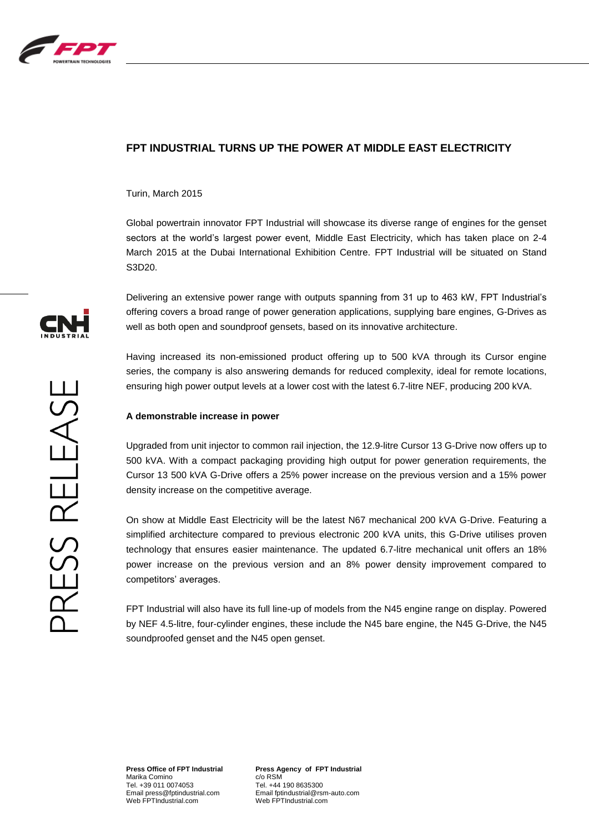

## **FPT INDUSTRIAL TURNS UP THE POWER AT MIDDLE EAST ELECTRICITY**

Turin, March 2015

Global powertrain innovator FPT Industrial will showcase its diverse range of engines for the genset sectors at the world's largest power event, Middle East Electricity, which has taken place on 2-4 March 2015 at the Dubai International Exhibition Centre. FPT Industrial will be situated on Stand S3D20.

Delivering an extensive power range with outputs spanning from 31 up to 463 kW, FPT Industrial's offering covers a broad range of power generation applications, supplying bare engines, G-Drives as well as both open and soundproof gensets, based on its innovative architecture.

Having increased its non-emissioned product offering up to 500 kVA through its Cursor engine series, the company is also answering demands for reduced complexity, ideal for remote locations, ensuring high power output levels at a lower cost with the latest 6.7-litre NEF, producing 200 kVA.

## **A demonstrable increase in power**

Upgraded from unit injector to common rail injection, the 12.9-litre Cursor 13 G-Drive now offers up to 500 kVA. With a compact packaging providing high output for power generation requirements, the Cursor 13 500 kVA G-Drive offers a 25% power increase on the previous version and a 15% power density increase on the competitive average.

On show at Middle East Electricity will be the latest N67 mechanical 200 kVA G-Drive. Featuring a simplified architecture compared to previous electronic 200 kVA units, this G-Drive utilises proven technology that ensures easier maintenance. The updated 6.7-litre mechanical unit offers an 18% power increase on the previous version and an 8% power density improvement compared to competitors' averages.

FPT Industrial will also have its full line-up of models from the N45 engine range on display. Powered by NEF 4.5-litre, four-cylinder engines, these include the N45 bare engine, the N45 G-Drive, the N45 soundproofed genset and the N45 open genset.



**Press Office of FPT Industrial** Marika Comino Tel. +39 011 0074053 Email press@fptindustrial.com Web FPTIndustrial.com

**Press Agency of FPT Industrial** c/o RSM Tel. +44 190 8635300 Email fptindustrial@rsm-auto.com Web FPTIndustrial.com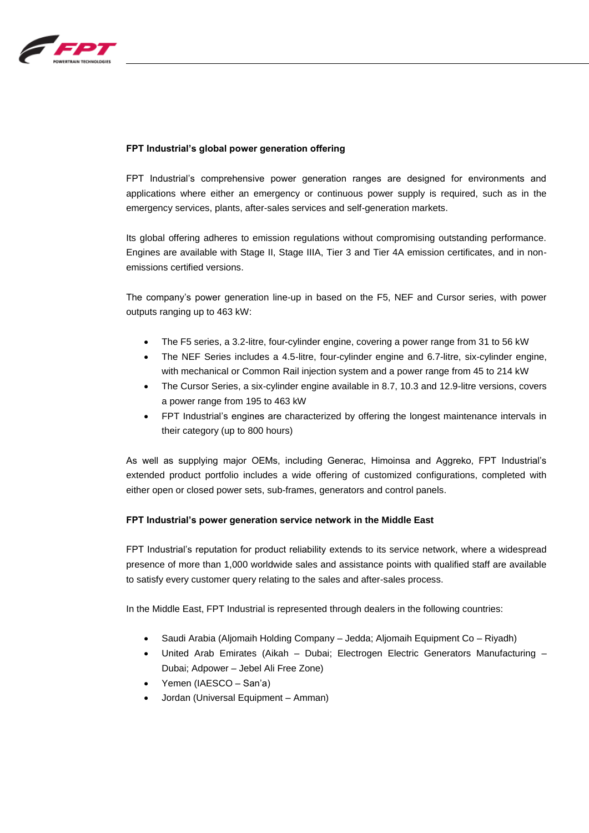

## **FPT Industrial's global power generation offering**

FPT Industrial's comprehensive power generation ranges are designed for environments and applications where either an emergency or continuous power supply is required, such as in the emergency services, plants, after-sales services and self-generation markets.

Its global offering adheres to emission regulations without compromising outstanding performance. Engines are available with Stage II, Stage IIIA, Tier 3 and Tier 4A emission certificates, and in nonemissions certified versions.

The company's power generation line-up in based on the F5, NEF and Cursor series, with power outputs ranging up to 463 kW:

- The F5 series, a 3.2-litre, four-cylinder engine, covering a power range from 31 to 56 kW
- The NEF Series includes a 4.5-litre, four-cylinder engine and 6.7-litre, six-cylinder engine, with mechanical or Common Rail injection system and a power range from 45 to 214 kW
- The Cursor Series, a six-cylinder engine available in 8.7, 10.3 and 12.9-litre versions, covers a power range from 195 to 463 kW
- FPT Industrial's engines are characterized by offering the longest maintenance intervals in their category (up to 800 hours)

As well as supplying major OEMs, including Generac, Himoinsa and Aggreko, FPT Industrial's extended product portfolio includes a wide offering of customized configurations, completed with either open or closed power sets, sub-frames, generators and control panels.

## **FPT Industrial's power generation service network in the Middle East**

FPT Industrial's reputation for product reliability extends to its service network, where a widespread presence of more than 1,000 worldwide sales and assistance points with qualified staff are available to satisfy every customer query relating to the sales and after-sales process.

In the Middle East, FPT Industrial is represented through dealers in the following countries:

- Saudi Arabia (Aljomaih Holding Company Jedda; Aljomaih Equipment Co Riyadh)
- United Arab Emirates (Aikah Dubai; Electrogen Electric Generators Manufacturing Dubai; Adpower – Jebel Ali Free Zone)
- Yemen (IAESCO San'a)
- Jordan (Universal Equipment Amman)